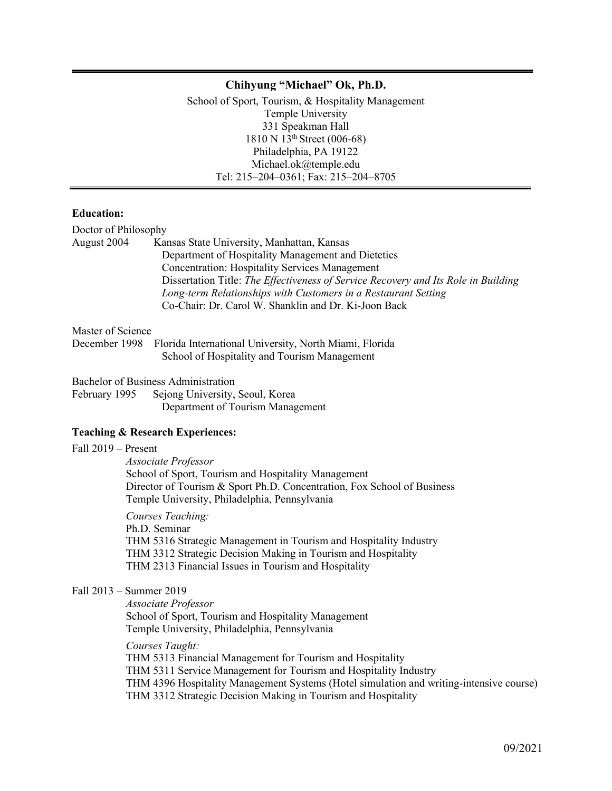### **Chihyung "Michael" Ok, Ph.D.**

School of Sport, Tourism, & Hospitality Management Temple University 331 Speakman Hall  $1810 \text{ N } 13^{\text{th}}$  Street (006-68) Philadelphia, PA 19122 Michael.ok@temple.edu Tel: 215–204–0361; Fax: 215–204–8705

#### **Education:**

| Doctor of Philosophy |                                                                                    |
|----------------------|------------------------------------------------------------------------------------|
| August 2004          | Kansas State University, Manhattan, Kansas                                         |
|                      | Department of Hospitality Management and Dietetics                                 |
|                      | <b>Concentration: Hospitality Services Management</b>                              |
|                      | Dissertation Title: The Effectiveness of Service Recovery and Its Role in Building |
|                      | Long-term Relationships with Customers in a Restaurant Setting                     |
|                      | Co-Chair: Dr. Carol W. Shanklin and Dr. Ki-Joon Back                               |
| Master of Science    |                                                                                    |
| December 1998        | Florida International University, North Miami, Florida                             |
|                      | School of Hospitality and Tourism Management                                       |
|                      | <b>Bachelor of Business Administration</b>                                         |
|                      | February 1995 Sejong University, Seoul, Korea                                      |
|                      | Department of Tourism Management                                                   |
|                      |                                                                                    |

### **Teaching & Research Experiences:**

#### Fall 2019 – Present

*Associate Professor* School of Sport, Tourism and Hospitality Management Director of Tourism & Sport Ph.D. Concentration, Fox School of Business Temple University, Philadelphia, Pennsylvania

*Courses Teaching:* Ph.D. Seminar THM 5316 Strategic Management in Tourism and Hospitality Industry THM 3312 Strategic Decision Making in Tourism and Hospitality THM 2313 Financial Issues in Tourism and Hospitality

### Fall 2013 – Summer 2019

*Associate Professor* School of Sport, Tourism and Hospitality Management Temple University, Philadelphia, Pennsylvania

*Courses Taught:* THM 5313 Financial Management for Tourism and Hospitality THM 5311 Service Management for Tourism and Hospitality Industry THM 4396 Hospitality Management Systems (Hotel simulation and writing-intensive course) THM 3312 Strategic Decision Making in Tourism and Hospitality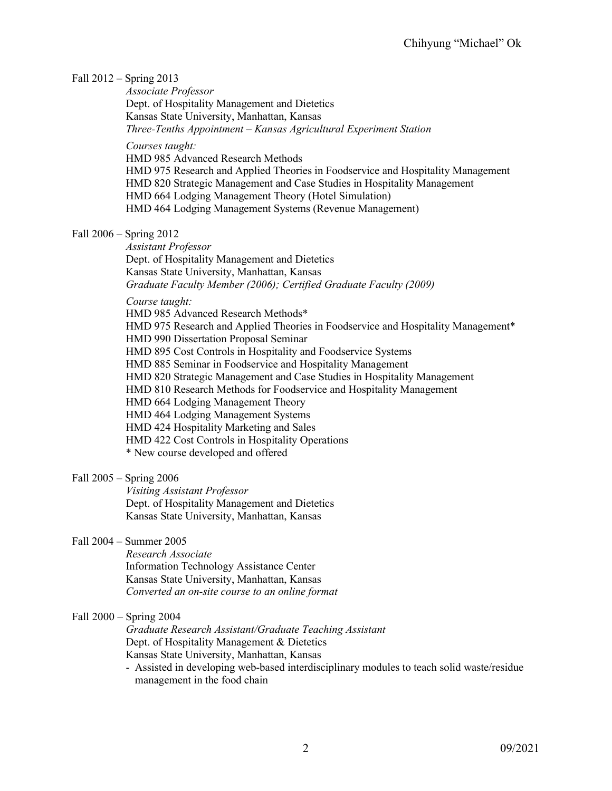### Fall 2012 – Spring 2013

*Associate Professor* Dept. of Hospitality Management and Dietetics Kansas State University, Manhattan, Kansas *Three-Tenths Appointment – Kansas Agricultural Experiment Station*

*Courses taught:*

HMD 985 Advanced Research Methods

HMD 975 Research and Applied Theories in Foodservice and Hospitality Management HMD 820 Strategic Management and Case Studies in Hospitality Management HMD 664 Lodging Management Theory (Hotel Simulation) HMD 464 Lodging Management Systems (Revenue Management)

## Fall 2006 – Spring 2012

*Assistant Professor* Dept. of Hospitality Management and Dietetics Kansas State University, Manhattan, Kansas *Graduate Faculty Member (2006); Certified Graduate Faculty (2009)*

### *Course taught:*

HMD 985 Advanced Research Methods\* HMD 975 Research and Applied Theories in Foodservice and Hospitality Management\* HMD 990 Dissertation Proposal Seminar HMD 895 Cost Controls in Hospitality and Foodservice Systems HMD 885 Seminar in Foodservice and Hospitality Management HMD 820 Strategic Management and Case Studies in Hospitality Management HMD 810 Research Methods for Foodservice and Hospitality Management HMD 664 Lodging Management Theory HMD 464 Lodging Management Systems HMD 424 Hospitality Marketing and Sales HMD 422 Cost Controls in Hospitality Operations \* New course developed and offered

## Fall 2005 – Spring 2006

*Visiting Assistant Professor* Dept. of Hospitality Management and Dietetics Kansas State University, Manhattan, Kansas

## Fall 2004 – Summer 2005

*Research Associate* Information Technology Assistance Center Kansas State University, Manhattan, Kansas *Converted an on-site course to an online format*

## Fall 2000 – Spring 2004

*Graduate Research Assistant/Graduate Teaching Assistant* Dept. of Hospitality Management & Dietetics Kansas State University, Manhattan, Kansas

- Assisted in developing web-based interdisciplinary modules to teach solid waste/residue management in the food chain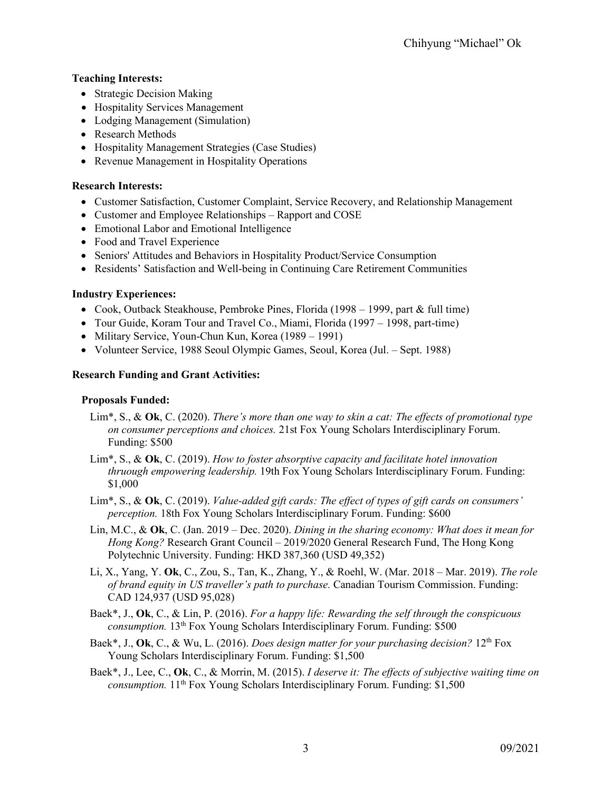# **Teaching Interests:**

- Strategic Decision Making
- Hospitality Services Management
- Lodging Management (Simulation)
- Research Methods
- Hospitality Management Strategies (Case Studies)
- Revenue Management in Hospitality Operations

# **Research Interests:**

- Customer Satisfaction, Customer Complaint, Service Recovery, and Relationship Management
- Customer and Employee Relationships Rapport and COSE
- Emotional Labor and Emotional Intelligence
- Food and Travel Experience
- Seniors' Attitudes and Behaviors in Hospitality Product/Service Consumption
- Residents' Satisfaction and Well-being in Continuing Care Retirement Communities

# **Industry Experiences:**

- Cook, Outback Steakhouse, Pembroke Pines, Florida (1998 1999, part  $\&$  full time)
- Tour Guide, Koram Tour and Travel Co., Miami, Florida (1997 1998, part-time)
- Military Service, Youn-Chun Kun, Korea (1989 1991)
- Volunteer Service, 1988 Seoul Olympic Games, Seoul, Korea (Jul. Sept. 1988)

# **Research Funding and Grant Activities:**

# **Proposals Funded:**

- Lim\*, S., & **Ok**, C. (2020). *There's more than one way to skin a cat: The effects of promotional type on consumer perceptions and choices.* 21st Fox Young Scholars Interdisciplinary Forum. Funding: \$500
- Lim\*, S., & **Ok**, C. (2019). *How to foster absorptive capacity and facilitate hotel innovation thruough empowering leadership.* 19th Fox Young Scholars Interdisciplinary Forum. Funding: \$1,000
- Lim\*, S., & **Ok**, C. (2019). *Value-added gift cards: The effect of types of gift cards on consumers' perception.* 18th Fox Young Scholars Interdisciplinary Forum. Funding: \$600
- Lin, M.C., & **Ok**, C. (Jan. 2019 Dec. 2020). *Dining in the sharing economy: What does it mean for Hong Kong?* Research Grant Council – 2019/2020 General Research Fund, The Hong Kong Polytechnic University. Funding: HKD 387,360 (USD 49,352)
- Li, X., Yang, Y. **Ok**, C., Zou, S., Tan, K., Zhang, Y., & Roehl, W. (Mar. 2018 Mar. 2019). *The role of brand equity in US traveller's path to purchase.* Canadian Tourism Commission. Funding: CAD 124,937 (USD 95,028)
- Baek\*, J., **Ok**, C., & Lin, P. (2016). *For a happy life: Rewarding the self through the conspicuous consumption.* 13<sup>th</sup> Fox Young Scholars Interdisciplinary Forum. Funding: \$500
- Baek\*, J., **Ok**, C., & Wu, L. (2016). *Does design matter for your purchasing decision?* 12th Fox Young Scholars Interdisciplinary Forum. Funding: \$1,500
- Baek\*, J., Lee, C., **Ok**, C., & Morrin, M. (2015). *I deserve it: The effects of subjective waiting time on consumption.* 11<sup>th</sup> Fox Young Scholars Interdisciplinary Forum. Funding: \$1,500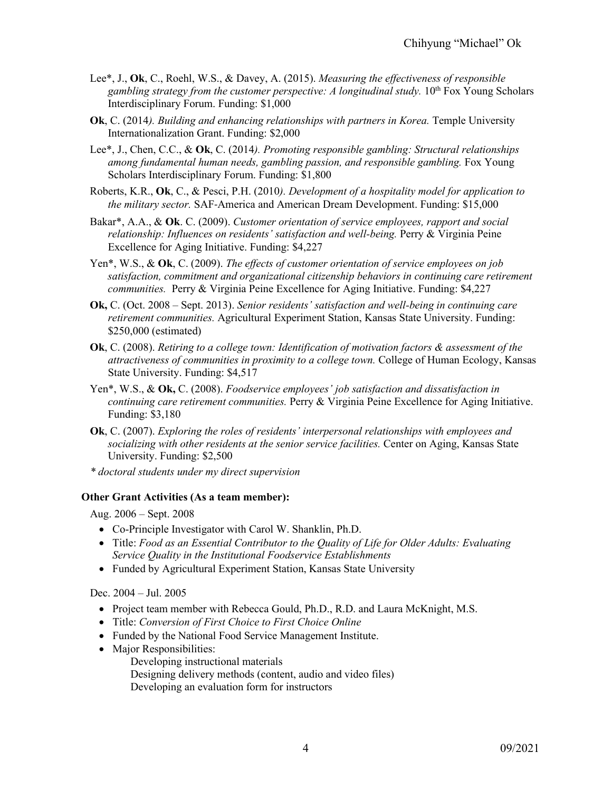- Lee\*, J., **Ok**, C., Roehl, W.S., & Davey, A. (2015). *Measuring the effectiveness of responsible*  gambling strategy from the customer perspective: A longitudinal study. 10<sup>th</sup> Fox Young Scholars Interdisciplinary Forum. Funding: \$1,000
- **Ok**, C. (2014*). Building and enhancing relationships with partners in Korea.* Temple University Internationalization Grant. Funding: \$2,000
- Lee\*, J., Chen, C.C., & **Ok**, C. (2014*). Promoting responsible gambling: Structural relationships among fundamental human needs, gambling passion, and responsible gambling.* Fox Young Scholars Interdisciplinary Forum. Funding: \$1,800
- Roberts, K.R., **Ok**, C., & Pesci, P.H. (2010*). Development of a hospitality model for application to the military sector.* SAF‐America and American Dream Development. Funding: \$15,000
- Bakar\*, A.A., & **Ok**. C. (2009). *Customer orientation of service employees, rapport and social relationship: Influences on residents' satisfaction and well-being. Perry & Virginia Peine* Excellence for Aging Initiative. Funding: \$4,227
- Yen\*, W.S., & **Ok**, C. (2009). *The effects of customer orientation of service employees on job satisfaction, commitment and organizational citizenship behaviors in continuing care retirement communities.* Perry & Virginia Peine Excellence for Aging Initiative. Funding: \$4,227
- **Ok,** C. (Oct. 2008 Sept. 2013). *Senior residents' satisfaction and well-being in continuing care retirement communities.* Agricultural Experiment Station, Kansas State University. Funding: \$250,000 (estimated)
- **Ok**, C. (2008). *Retiring to a college town: Identification of motivation factors & assessment of the attractiveness of communities in proximity to a college town.* College of Human Ecology, Kansas State University. Funding: \$4,517
- Yen\*, W.S., & **Ok,** C. (2008). *Foodservice employees' job satisfaction and dissatisfaction in continuing care retirement communities.* Perry & Virginia Peine Excellence for Aging Initiative. Funding: \$3,180
- **Ok**, C. (2007). *Exploring the roles of residents' interpersonal relationships with employees and socializing with other residents at the senior service facilities.* Center on Aging, Kansas State University. Funding: \$2,500
- *\* doctoral students under my direct supervision*

### **Other Grant Activities (As a team member):**

Aug. 2006 – Sept. 2008

- Co-Principle Investigator with Carol W. Shanklin, Ph.D.
- Title: *Food as an Essential Contributor to the Quality of Life for Older Adults: Evaluating Service Quality in the Institutional Foodservice Establishments*
- Funded by Agricultural Experiment Station, Kansas State University

Dec. 2004 – Jul. 2005

- Project team member with Rebecca Gould, Ph.D., R.D. and Laura McKnight, M.S.
- Title: *Conversion of First Choice to First Choice Online*
- Funded by the National Food Service Management Institute.
- Major Responsibilities:
	- Developing instructional materials
	- Designing delivery methods (content, audio and video files)
	- Developing an evaluation form for instructors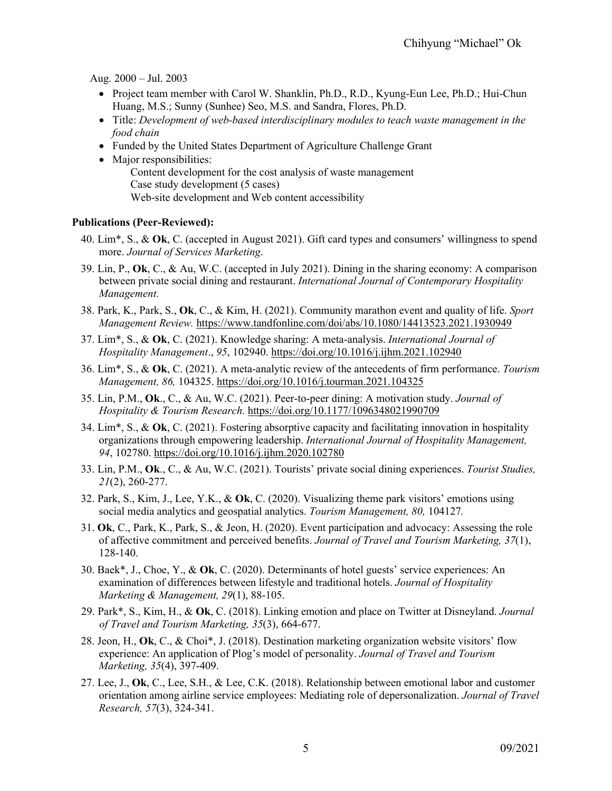Aug. 2000 – Jul. 2003

- Project team member with Carol W. Shanklin, Ph.D., R.D., Kyung-Eun Lee, Ph.D.; Hui-Chun Huang, M.S.; Sunny (Sunhee) Seo, M.S. and Sandra, Flores, Ph.D.
- Title: *Development of web-based interdisciplinary modules to teach waste management in the food chain*
- Funded by the United States Department of Agriculture Challenge Grant
- Major responsibilities: Content development for the cost analysis of waste management Case study development (5 cases) Web-site development and Web content accessibility

### **Publications (Peer-Reviewed):**

- 40. Lim\*, S., & **Ok**, C. (accepted in August 2021). Gift card types and consumers' willingness to spend more. *Journal of Services Marketing*.
- 39. Lin, P., **Ok**, C., & Au, W.C. (accepted in July 2021). Dining in the sharing economy: A comparison between private social dining and restaurant. *International Journal of Contemporary Hospitality Management.*
- 38. Park, K., Park, S., **Ok**, C., & Kim, H. (2021). Community marathon event and quality of life. *Sport Management Review.* <https://www.tandfonline.com/doi/abs/10.1080/14413523.2021.1930949>
- 37. Lim\*, S., & **Ok**, C. (2021). Knowledge sharing: A meta-analysis. *International Journal of Hospitality Management*., *95*, 102940.<https://doi.org/10.1016/j.ijhm.2021.102940>
- 36. Lim\*, S., & **Ok**, C. (2021). A meta-analytic review of the antecedents of firm performance. *Tourism Management, 86,* 104325. <https://doi.org/10.1016/j.tourman.2021.104325>
- 35. Lin, P.M., **Ok**., C., & Au, W.C. (2021). Peer-to-peer dining: A motivation study. *Journal of Hospitality & Tourism Research.* <https://doi.org/10.1177/1096348021990709>
- 34. Lim\*, S., & **Ok**, C. (2021). Fostering absorptive capacity and facilitating innovation in hospitality organizations through empowering leadership. *International Journal of Hospitality Management, 94*, 102780. <https://doi.org/10.1016/j.ijhm.2020.102780>
- 33. Lin, P.M., **Ok**., C., & Au, W.C. (2021). Tourists' private social dining experiences. *Tourist Studies, 21*(2), 260-277.
- 32. Park, S., Kim, J., Lee, Y.K., & **Ok**, C. (2020). Visualizing theme park visitors' emotions using social media analytics and geospatial analytics. *Tourism Management, 80,* 104127*.*
- 31. **Ok**, C., Park, K., Park, S., & Jeon, H. (2020). Event participation and advocacy: Assessing the role of affective commitment and perceived benefits. *Journal of Travel and Tourism Marketing, 37*(1), 128-140.
- 30. Baek\*, J., Choe, Y., & **Ok**, C. (2020). Determinants of hotel guests' service experiences: An examination of differences between lifestyle and traditional hotels. *Journal of Hospitality Marketing & Management, 29*(1), 88-105.
- 29. Park\*, S., Kim, H., & **Ok**, C. (2018). Linking emotion and place on Twitter at Disneyland. *Journal of Travel and Tourism Marketing, 35*(3), 664-677.
- 28. Jeon, H., **Ok**, C., & Choi\*, J. (2018). Destination marketing organization website visitors' flow experience: An application of Plog's model of personality. *Journal of Travel and Tourism Marketing, 35*(4), 397-409.
- 27. Lee, J., **Ok**, C., Lee, S.H., & Lee, C.K. (2018). Relationship between emotional labor and customer orientation among airline service employees: Mediating role of depersonalization. *Journal of Travel Research, 57*(3), 324-341.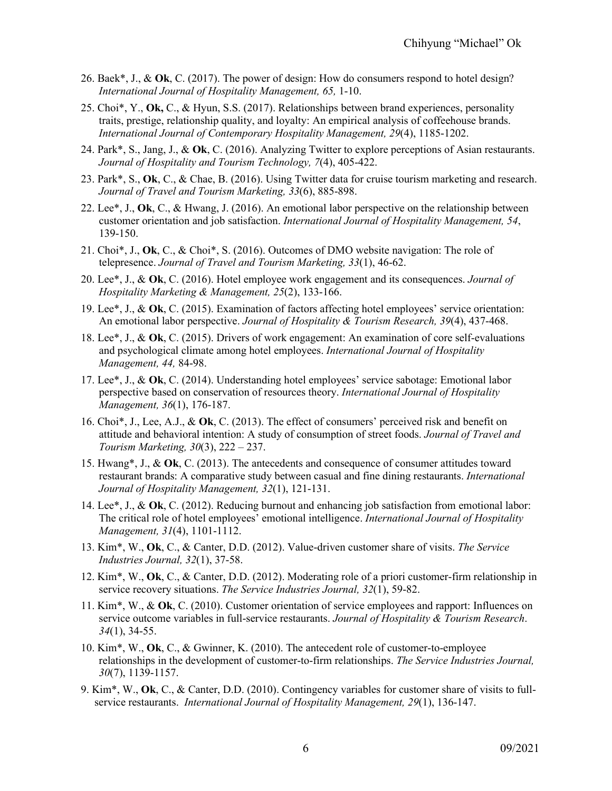- 26. Baek\*, J., & **Ok**, C. (2017). The power of design: How do consumers respond to hotel design? *International Journal of Hospitality Management, 65,* 1-10.
- 25. Choi\*, Y., **Ok,** C., & Hyun, S.S. (2017). Relationships between brand experiences, personality traits, prestige, relationship quality, and loyalty: An empirical analysis of coffeehouse brands. *International Journal of Contemporary Hospitality Management, 29*(4), 1185-1202.
- 24. Park\*, S., Jang, J., & **Ok**, C. (2016). Analyzing Twitter to explore perceptions of Asian restaurants. *Journal of Hospitality and Tourism Technology, 7*(4), 405-422.
- 23. Park\*, S., **Ok**, C., & Chae, B. (2016). Using Twitter data for cruise tourism marketing and research. *Journal of Travel and Tourism Marketing, 33*(6), 885-898.
- 22. Lee\*, J., **Ok**, C., & Hwang, J. (2016). An emotional labor perspective on the relationship between customer orientation and job satisfaction. *International Journal of Hospitality Management, 54*, 139-150.
- 21. Choi\*, J., **Ok**, C., & Choi\*, S. (2016). Outcomes of DMO website navigation: The role of telepresence. *Journal of Travel and Tourism Marketing, 33*(1), 46-62.
- 20. Lee\*, J., & **Ok**, C. (2016). Hotel employee work engagement and its consequences. *Journal of Hospitality Marketing & Management, 25*(2), 133-166.
- 19. Lee\*, J., & **Ok**, C. (2015). Examination of factors affecting hotel employees' service orientation: An emotional labor perspective. *Journal of Hospitality & Tourism Research, 39*(4), 437-468.
- 18. Lee\*, J., & **Ok**, C. (2015). Drivers of work engagement: An examination of core self-evaluations and psychological climate among hotel employees. *International Journal of Hospitality Management, 44,* 84-98.
- 17. Lee\*, J., & **Ok**, C. (2014). Understanding hotel employees' service sabotage: Emotional labor perspective based on conservation of resources theory. *International Journal of Hospitality Management, 36*(1), 176-187.
- 16. Choi\*, J., Lee, A.J., & **Ok**, C. (2013). The effect of consumers' perceived risk and benefit on attitude and behavioral intention: A study of consumption of street foods. *Journal of Travel and Tourism Marketing, 30*(3), 222 – 237.
- 15. Hwang\*, J., & **Ok**, C. (2013). The antecedents and consequence of consumer attitudes toward restaurant brands: A comparative study between casual and fine dining restaurants. *International Journal of Hospitality Management, 32*(1), 121-131.
- 14. Lee\*, J., & **Ok**, C. (2012). Reducing burnout and enhancing job satisfaction from emotional labor: The critical role of hotel employees' emotional intelligence. *International Journal of Hospitality Management, 31*(4), 1101-1112.
- 13. Kim\*, W., **Ok**, C., & Canter, D.D. (2012). Value-driven customer share of visits. *The Service Industries Journal, 32*(1), 37-58.
- 12. Kim\*, W., **Ok**, C., & Canter, D.D. (2012). Moderating role of a priori customer-firm relationship in service recovery situations. *The Service Industries Journal, 32*(1), 59-82.
- 11. Kim\*, W., & **Ok**, C. (2010). Customer orientation of service employees and rapport: Influences on service outcome variables in full-service restaurants. *Journal of Hospitality & Tourism Research*. *34*(1), 34-55.
- 10. Kim\*, W., **Ok**, C., & Gwinner, K. (2010). The antecedent role of customer-to-employee relationships in the development of customer-to-firm relationships. *The Service Industries Journal, 30*(7), 1139-1157.
- 9. Kim\*, W., **Ok**, C., & Canter, D.D. (2010). Contingency variables for customer share of visits to fullservice restaurants. *International Journal of Hospitality Management, 29*(1), 136-147.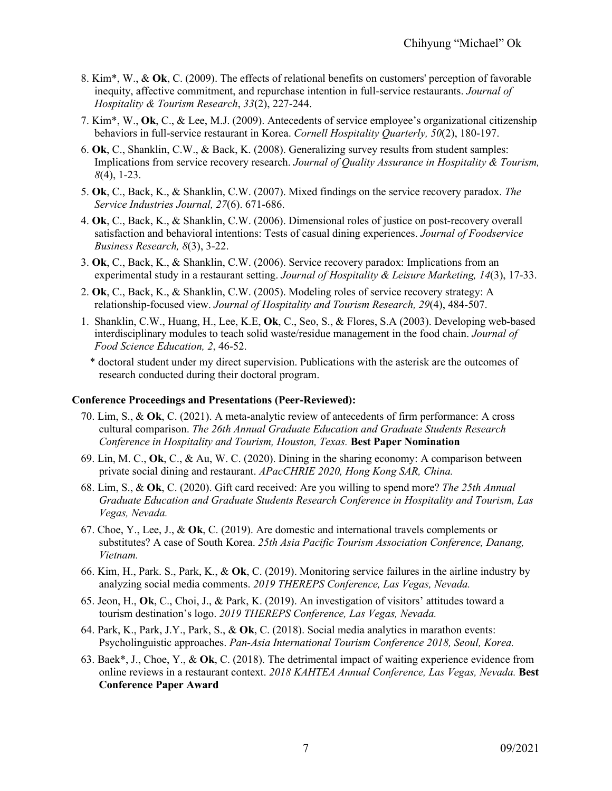- 8. Kim\*, W., & **Ok**, C. (2009). The effects of relational benefits on customers' perception of favorable inequity, affective commitment, and repurchase intention in full-service restaurants. *Journal of Hospitality & Tourism Research*, *33*(2), 227-244.
- 7. Kim\*, W., **Ok**, C., & Lee, M.J. (2009). Antecedents of service employee's organizational citizenship behaviors in full-service restaurant in Korea. *Cornell Hospitality Quarterly, 50*(2), 180-197.
- 6. **Ok**, C., Shanklin, C.W., & Back, K. (2008). Generalizing survey results from student samples: Implications from service recovery research. *Journal of Quality Assurance in Hospitality & Tourism, 8*(4), 1-23.
- 5. **Ok**, C., Back, K., & Shanklin, C.W. (2007). Mixed findings on the service recovery paradox. *The Service Industries Journal, 27*(6). 671-686.
- 4. **Ok**, C., Back, K., & Shanklin, C.W. (2006). Dimensional roles of justice on post-recovery overall satisfaction and behavioral intentions: Tests of casual dining experiences. *Journal of Foodservice Business Research, 8*(3), 3-22.
- 3. **Ok**, C., Back, K., & Shanklin, C.W. (2006). Service recovery paradox: Implications from an experimental study in a restaurant setting. *Journal of Hospitality & Leisure Marketing, 14*(3), 17-33.
- 2. **Ok**, C., Back, K., & Shanklin, C.W. (2005). Modeling roles of service recovery strategy: A relationship-focused view. *Journal of Hospitality and Tourism Research, 29*(4), 484-507.
- 1. Shanklin, C.W., Huang, H., Lee, K.E, **Ok**, C., Seo, S., & Flores, S.A (2003). Developing web-based interdisciplinary modules to teach solid waste/residue management in the food chain. *Journal of Food Science Education, 2*, 46-52.
	- \* doctoral student under my direct supervision. Publications with the asterisk are the outcomes of research conducted during their doctoral program.

#### **Conference Proceedings and Presentations (Peer-Reviewed):**

- 70. Lim, S., & **Ok**, C. (2021). A meta-analytic review of antecedents of firm performance: A cross cultural comparison. *The 26th Annual Graduate Education and Graduate Students Research Conference in Hospitality and Tourism, Houston, Texas.* **Best Paper Nomination**
- 69. Lin, M. C., **Ok**, C., & Au, W. C. (2020). Dining in the sharing economy: A comparison between private social dining and restaurant. *APacCHRIE 2020, Hong Kong SAR, China.*
- 68. Lim, S., & **Ok**, C. (2020). Gift card received: Are you willing to spend more? *The 25th Annual Graduate Education and Graduate Students Research Conference in Hospitality and Tourism, Las Vegas, Nevada.*
- 67. Choe, Y., Lee, J., & **Ok**, C. (2019). Are domestic and international travels complements or substitutes? A case of South Korea. *25th Asia Pacific Tourism Association Conference, Danang, Vietnam.*
- 66. Kim, H., Park. S., Park, K., & **Ok**, C. (2019). Monitoring service failures in the airline industry by analyzing social media comments. *2019 THEREPS Conference, Las Vegas, Nevada.*
- 65. Jeon, H., **Ok**, C., Choi, J., & Park, K. (2019). An investigation of visitors' attitudes toward a tourism destination's logo. *2019 THEREPS Conference, Las Vegas, Nevada.*
- 64. Park, K., Park, J.Y., Park, S., & **Ok**, C. (2018). Social media analytics in marathon events: Psycholinguistic approaches. *Pan-Asia International Tourism Conference 2018, Seoul, Korea.*
- 63. Baek\*, J., Choe, Y., & **Ok**, C. (2018). The detrimental impact of waiting experience evidence from online reviews in a restaurant context. *2018 KAHTEA Annual Conference, Las Vegas, Nevada.* **Best Conference Paper Award**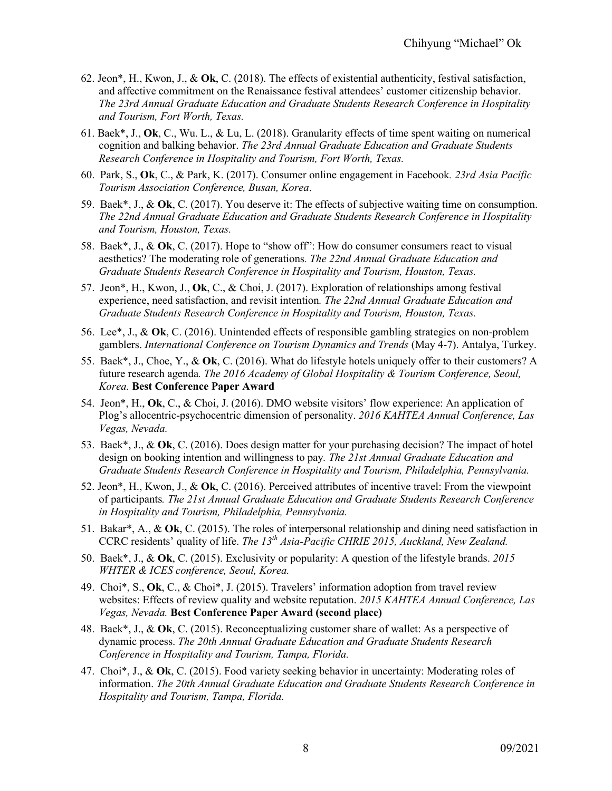- 62. Jeon\*, H., Kwon, J., & **Ok**, C. (2018). The effects of existential authenticity, festival satisfaction, and affective commitment on the Renaissance festival attendees' customer citizenship behavior. *The 23rd Annual Graduate Education and Graduate Students Research Conference in Hospitality and Tourism, Fort Worth, Texas.*
- 61. Baek\*, J., **Ok**, C., Wu. L., & Lu, L. (2018). Granularity effects of time spent waiting on numerical cognition and balking behavior. *The 23rd Annual Graduate Education and Graduate Students Research Conference in Hospitality and Tourism, Fort Worth, Texas.*
- 60. Park, S., **Ok**, C., & Park, K. (2017). Consumer online engagement in Facebook*. 23rd Asia Pacific Tourism Association Conference, Busan, Korea*.
- 59. Baek\*, J., & **Ok**, C. (2017). You deserve it: The effects of subjective waiting time on consumption. *The 22nd Annual Graduate Education and Graduate Students Research Conference in Hospitality and Tourism, Houston, Texas.*
- 58. Baek\*, J., & **Ok**, C. (2017). Hope to "show off": How do consumer consumers react to visual aesthetics? The moderating role of generations*. The 22nd Annual Graduate Education and Graduate Students Research Conference in Hospitality and Tourism, Houston, Texas.*
- 57. Jeon\*, H., Kwon, J., **Ok**, C., & Choi, J. (2017). Exploration of relationships among festival experience, need satisfaction, and revisit intention*. The 22nd Annual Graduate Education and Graduate Students Research Conference in Hospitality and Tourism, Houston, Texas.*
- 56. Lee\*, J., & **Ok**, C. (2016). Unintended effects of responsible gambling strategies on non-problem gamblers. *International Conference on Tourism Dynamics and Trends* (May 4-7). Antalya, Turkey.
- 55. Baek\*, J., Choe, Y., & **Ok**, C. (2016). What do lifestyle hotels uniquely offer to their customers? A future research agenda*. The 2016 Academy of Global Hospitality & Tourism Conference, Seoul, Korea.* **Best Conference Paper Award**
- 54. Jeon\*, H., **Ok**, C., & Choi, J. (2016). DMO website visitors' flow experience: An application of Plog's allocentric-psychocentric dimension of personality. *2016 KAHTEA Annual Conference, Las Vegas, Nevada.*
- 53. Baek\*, J., & **Ok**, C. (2016). Does design matter for your purchasing decision? The impact of hotel design on booking intention and willingness to pay*. The 21st Annual Graduate Education and Graduate Students Research Conference in Hospitality and Tourism, Philadelphia, Pennsylvania.*
- 52. Jeon\*, H., Kwon, J., & **Ok**, C. (2016). Perceived attributes of incentive travel: From the viewpoint of participants*. The 21st Annual Graduate Education and Graduate Students Research Conference in Hospitality and Tourism, Philadelphia, Pennsylvania.*
- 51. Bakar\*, A., & **Ok**, C. (2015). The roles of interpersonal relationship and dining need satisfaction in CCRC residents' quality of life. *The 13th Asia-Pacific CHRIE 2015, Auckland, New Zealand.*
- 50. Baek\*, J., & **Ok**, C. (2015). Exclusivity or popularity: A question of the lifestyle brands. *2015 WHTER & ICES conference, Seoul, Korea.*
- 49. Choi\*, S., **Ok**, C., & Choi\*, J. (2015). Travelers' information adoption from travel review websites: Effects of review quality and website reputation. *2015 KAHTEA Annual Conference, Las Vegas, Nevada.* **Best Conference Paper Award (second place)**
- 48. Baek\*, J., & **Ok**, C. (2015). Reconceptualizing customer share of wallet: As a perspective of dynamic process. *The 20th Annual Graduate Education and Graduate Students Research Conference in Hospitality and Tourism, Tampa, Florida.*
- 47. Choi\*, J., & **Ok**, C. (2015). Food variety seeking behavior in uncertainty: Moderating roles of information. *The 20th Annual Graduate Education and Graduate Students Research Conference in Hospitality and Tourism, Tampa, Florida.*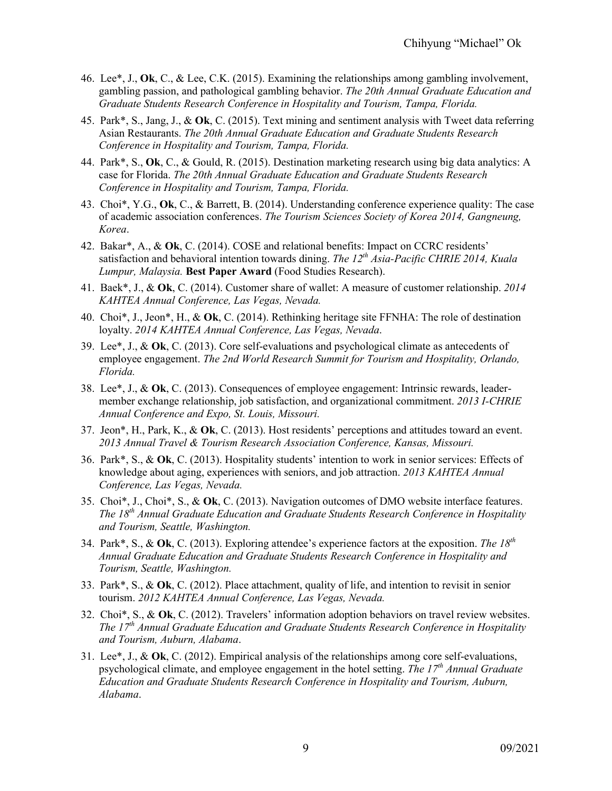- 46. Lee\*, J., **Ok**, C., & Lee, C.K. (2015). Examining the relationships among gambling involvement, gambling passion, and pathological gambling behavior. *The 20th Annual Graduate Education and Graduate Students Research Conference in Hospitality and Tourism, Tampa, Florida.*
- 45. Park\*, S., Jang, J., & **Ok**, C. (2015). Text mining and sentiment analysis with Tweet data referring Asian Restaurants. *The 20th Annual Graduate Education and Graduate Students Research Conference in Hospitality and Tourism, Tampa, Florida.*
- 44. Park\*, S., **Ok**, C., & Gould, R. (2015). Destination marketing research using big data analytics: A case for Florida. *The 20th Annual Graduate Education and Graduate Students Research Conference in Hospitality and Tourism, Tampa, Florida.*
- 43. Choi\*, Y.G., **Ok**, C., & Barrett, B. (2014). Understanding conference experience quality: The case of academic association conferences. *The Tourism Sciences Society of Korea 2014, Gangneung, Korea*.
- 42. Bakar\*, A., & **Ok**, C. (2014). COSE and relational benefits: Impact on CCRC residents' satisfaction and behavioral intention towards dining. *The 12<sup>th</sup> Asia-Pacific CHRIE 2014, Kuala Lumpur, Malaysia.* **Best Paper Award** (Food Studies Research).
- 41. Baek\*, J., & **Ok**, C. (2014). Customer share of wallet: A measure of customer relationship. *2014 KAHTEA Annual Conference, Las Vegas, Nevada.*
- 40. Choi\*, J., Jeon\*, H., & **Ok**, C. (2014). Rethinking heritage site FFNHA: The role of destination loyalty. *2014 KAHTEA Annual Conference, Las Vegas, Nevada*.
- 39. Lee\*, J., & **Ok**, C. (2013). Core self-evaluations and psychological climate as antecedents of employee engagement. *The 2nd World Research Summit for Tourism and Hospitality, Orlando, Florida.*
- 38. Lee\*, J., & **Ok**, C. (2013). Consequences of employee engagement: Intrinsic rewards, leadermember exchange relationship, job satisfaction, and organizational commitment. *2013 I-CHRIE Annual Conference and Expo, St. Louis, Missouri.*
- 37. Jeon\*, H., Park, K., & **Ok**, C. (2013). Host residents' perceptions and attitudes toward an event. *2013 Annual Travel & Tourism Research Association Conference, Kansas, Missouri.*
- 36. Park\*, S., & **Ok**, C. (2013). Hospitality students' intention to work in senior services: Effects of knowledge about aging, experiences with seniors, and job attraction. *2013 KAHTEA Annual Conference, Las Vegas, Nevada.*
- 35. Choi\*, J., Choi\*, S., & **Ok**, C. (2013). Navigation outcomes of DMO website interface features. *The 18th Annual Graduate Education and Graduate Students Research Conference in Hospitality and Tourism, Seattle, Washington.*
- 34. Park\*, S., & **Ok**, C. (2013). Exploring attendee's experience factors at the exposition. *The 18th Annual Graduate Education and Graduate Students Research Conference in Hospitality and Tourism, Seattle, Washington.*
- 33. Park\*, S., & **Ok**, C. (2012). Place attachment, quality of life, and intention to revisit in senior tourism. *2012 KAHTEA Annual Conference, Las Vegas, Nevada.*
- 32. Choi\*, S., & **Ok**, C. (2012). Travelers' information adoption behaviors on travel review websites. *The 17th Annual Graduate Education and Graduate Students Research Conference in Hospitality and Tourism, Auburn, Alabama*.
- 31. Lee\*, J., & **Ok**, C. (2012). Empirical analysis of the relationships among core self-evaluations, psychological climate, and employee engagement in the hotel setting. *The 17th Annual Graduate Education and Graduate Students Research Conference in Hospitality and Tourism, Auburn, Alabama*.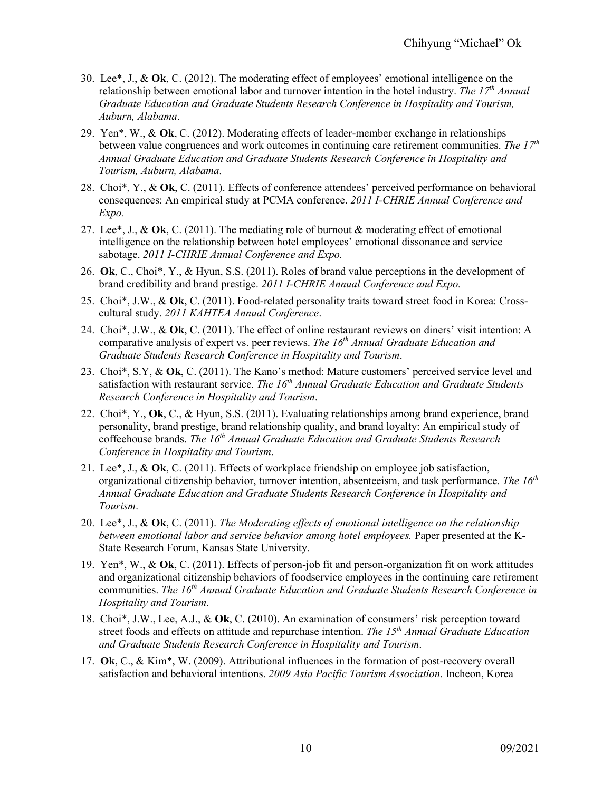- 30. Lee\*, J., & **Ok**, C. (2012). The moderating effect of employees' emotional intelligence on the relationship between emotional labor and turnover intention in the hotel industry. *The 17th Annual Graduate Education and Graduate Students Research Conference in Hospitality and Tourism, Auburn, Alabama*.
- 29. Yen\*, W., & **Ok**, C. (2012). Moderating effects of leader-member exchange in relationships between value congruences and work outcomes in continuing care retirement communities. *The 17th Annual Graduate Education and Graduate Students Research Conference in Hospitality and Tourism, Auburn, Alabama*.
- 28. Choi\*, Y., & **Ok**, C. (2011). Effects of conference attendees' perceived performance on behavioral consequences: An empirical study at PCMA conference. *2011 I-CHRIE Annual Conference and Expo.*
- 27. Lee\*, J., & **Ok**, C. (2011). The mediating role of burnout & moderating effect of emotional intelligence on the relationship between hotel employees' emotional dissonance and service sabotage. *2011 I-CHRIE Annual Conference and Expo.*
- 26. **Ok**, C., Choi\*, Y., & Hyun, S.S. (2011). Roles of brand value perceptions in the development of brand credibility and brand prestige. *2011 I-CHRIE Annual Conference and Expo.*
- 25. Choi\*, J.W., & **Ok**, C. (2011). Food-related personality traits toward street food in Korea: Crosscultural study. *2011 KAHTEA Annual Conference*.
- 24. Choi\*, J.W., & **Ok**, C. (2011). The effect of online restaurant reviews on diners' visit intention: A comparative analysis of expert vs. peer reviews. *The 16th Annual Graduate Education and Graduate Students Research Conference in Hospitality and Tourism*.
- 23. Choi\*, S.Y, & **Ok**, C. (2011). The Kano's method: Mature customers' perceived service level and satisfaction with restaurant service. *The 16<sup>th</sup> Annual Graduate Education and Graduate Students Research Conference in Hospitality and Tourism*.
- 22. Choi\*, Y., **Ok**, C., & Hyun, S.S. (2011). Evaluating relationships among brand experience, brand personality, brand prestige, brand relationship quality, and brand loyalty: An empirical study of coffeehouse brands. *The 16th Annual Graduate Education and Graduate Students Research Conference in Hospitality and Tourism*.
- 21. Lee\*, J., & **Ok**, C. (2011). Effects of workplace friendship on employee job satisfaction, organizational citizenship behavior, turnover intention, absenteeism, and task performance. *The 16th Annual Graduate Education and Graduate Students Research Conference in Hospitality and Tourism*.
- 20. Lee\*, J., & **Ok**, C. (2011). *The Moderating effects of emotional intelligence on the relationship between emotional labor and service behavior among hotel employees.* Paper presented at the K-State Research Forum, Kansas State University.
- 19. Yen\*, W., & **Ok**, C. (2011). Effects of person-job fit and person-organization fit on work attitudes and organizational citizenship behaviors of foodservice employees in the continuing care retirement communities. *The 16th Annual Graduate Education and Graduate Students Research Conference in Hospitality and Tourism*.
- 18. Choi\*, J.W., Lee, A.J., & **Ok**, C. (2010). An examination of consumers' risk perception toward street foods and effects on attitude and repurchase intention. *The 15th Annual Graduate Education and Graduate Students Research Conference in Hospitality and Tourism*.
- 17. **Ok**, C., & Kim\*, W. (2009). Attributional influences in the formation of post-recovery overall satisfaction and behavioral intentions. *2009 Asia Pacific Tourism Association*. Incheon, Korea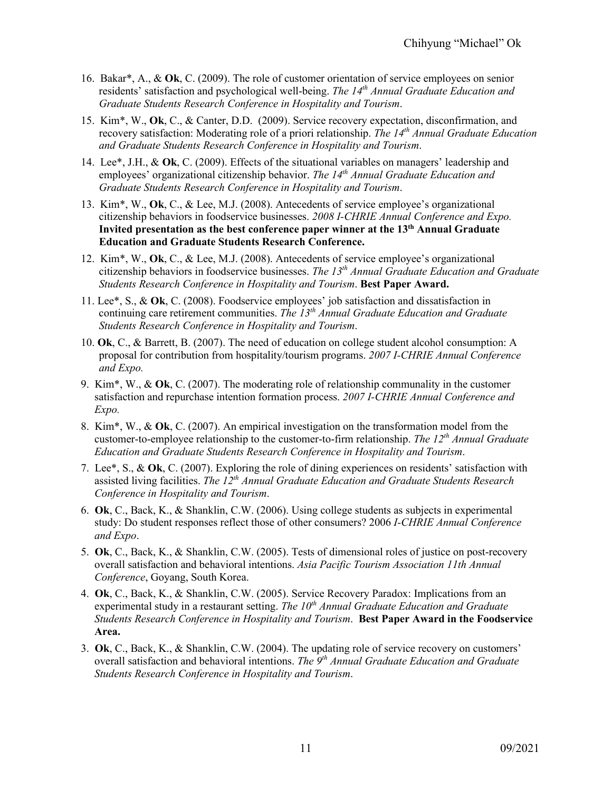- 16. Bakar\*, A., & **Ok**, C. (2009). The role of customer orientation of service employees on senior residents' satisfaction and psychological well-being. *The 14th Annual Graduate Education and Graduate Students Research Conference in Hospitality and Tourism*.
- 15. Kim\*, W., **Ok**, C., & Canter, D.D. (2009). Service recovery expectation, disconfirmation, and recovery satisfaction: Moderating role of a priori relationship. *The 14th Annual Graduate Education and Graduate Students Research Conference in Hospitality and Tourism*.
- 14. Lee\*, J.H., & **Ok**, C. (2009). Effects of the situational variables on managers' leadership and employees' organizational citizenship behavior. *The 14<sup>th</sup> Annual Graduate Education and Graduate Students Research Conference in Hospitality and Tourism*.
- 13. Kim\*, W., **Ok**, C., & Lee, M.J. (2008). Antecedents of service employee's organizational citizenship behaviors in foodservice businesses. *2008 I-CHRIE Annual Conference and Expo.* **Invited presentation as the best conference paper winner at the 13th Annual Graduate Education and Graduate Students Research Conference.**
- 12. Kim\*, W., **Ok**, C., & Lee, M.J. (2008). Antecedents of service employee's organizational citizenship behaviors in foodservice businesses. *The 13th Annual Graduate Education and Graduate Students Research Conference in Hospitality and Tourism*. **Best Paper Award.**
- 11. Lee\*, S., & **Ok**, C. (2008). Foodservice employees' job satisfaction and dissatisfaction in continuing care retirement communities. *The 13th Annual Graduate Education and Graduate Students Research Conference in Hospitality and Tourism*.
- 10. **Ok**, C., & Barrett, B. (2007). The need of education on college student alcohol consumption: A proposal for contribution from hospitality/tourism programs. *2007 I-CHRIE Annual Conference and Expo.*
- 9. Kim\*, W., & **Ok**, C. (2007). The moderating role of relationship communality in the customer satisfaction and repurchase intention formation process. *2007 I-CHRIE Annual Conference and Expo.*
- 8. Kim\*, W., & **Ok**, C. (2007). An empirical investigation on the transformation model from the customer-to-employee relationship to the customer-to-firm relationship. *The 12th Annual Graduate Education and Graduate Students Research Conference in Hospitality and Tourism*.
- 7. Lee\*, S., & **Ok**, C. (2007). Exploring the role of dining experiences on residents' satisfaction with assisted living facilities. *The 12th Annual Graduate Education and Graduate Students Research Conference in Hospitality and Tourism*.
- 6. **Ok**, C., Back, K., & Shanklin, C.W. (2006). Using college students as subjects in experimental study: Do student responses reflect those of other consumers? 2006 *I-CHRIE Annual Conference and Expo*.
- 5. **Ok**, C., Back, K., & Shanklin, C.W. (2005). Tests of dimensional roles of justice on post-recovery overall satisfaction and behavioral intentions. *Asia Pacific Tourism Association 11th Annual Conference*, Goyang, South Korea.
- 4. **Ok**, C., Back, K., & Shanklin, C.W. (2005). Service Recovery Paradox: Implications from an experimental study in a restaurant setting. *The 10<sup>th</sup> Annual Graduate Education and Graduate Students Research Conference in Hospitality and Tourism*. **Best Paper Award in the Foodservice Area.**
- 3. **Ok**, C., Back, K., & Shanklin, C.W. (2004). The updating role of service recovery on customers' overall satisfaction and behavioral intentions. *The 9th Annual Graduate Education and Graduate Students Research Conference in Hospitality and Tourism*.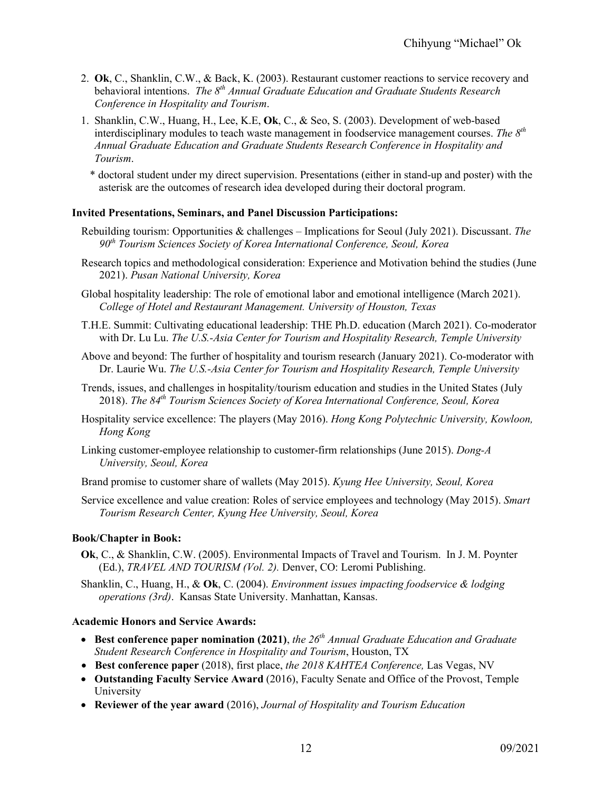- 2. **Ok**, C., Shanklin, C.W., & Back, K. (2003). Restaurant customer reactions to service recovery and behavioral intentions. *The 8th Annual Graduate Education and Graduate Students Research Conference in Hospitality and Tourism*.
- 1. Shanklin, C.W., Huang, H., Lee, K.E, **Ok**, C., & Seo, S. (2003). Development of web-based interdisciplinary modules to teach waste management in foodservice management courses. *The 8th Annual Graduate Education and Graduate Students Research Conference in Hospitality and Tourism*.
	- \* doctoral student under my direct supervision. Presentations (either in stand-up and poster) with the asterisk are the outcomes of research idea developed during their doctoral program.

### **Invited Presentations, Seminars, and Panel Discussion Participations:**

- Rebuilding tourism: Opportunities & challenges Implications for Seoul (July 2021). Discussant. *The 90th Tourism Sciences Society of Korea International Conference, Seoul, Korea*
- Research topics and methodological consideration: Experience and Motivation behind the studies (June 2021). *Pusan National University, Korea*
- Global hospitality leadership: The role of emotional labor and emotional intelligence (March 2021). *College of Hotel and Restaurant Management. University of Houston, Texas*
- T.H.E. Summit: Cultivating educational leadership: THE Ph.D. education (March 2021). Co-moderator with Dr. Lu Lu. *The U.S.-Asia Center for Tourism and Hospitality Research, Temple University*
- Above and beyond: The further of hospitality and tourism research (January 2021). Co-moderator with Dr. Laurie Wu. *The U.S.-Asia Center for Tourism and Hospitality Research, Temple University*
- Trends, issues, and challenges in hospitality/tourism education and studies in the United States (July 2018). *The 84th Tourism Sciences Society of Korea International Conference, Seoul, Korea*
- Hospitality service excellence: The players (May 2016). *Hong Kong Polytechnic University, Kowloon, Hong Kong*
- Linking customer-employee relationship to customer-firm relationships (June 2015). *Dong-A University, Seoul, Korea*
- Brand promise to customer share of wallets (May 2015). *Kyung Hee University, Seoul, Korea*
- Service excellence and value creation: Roles of service employees and technology (May 2015). *Smart Tourism Research Center, Kyung Hee University, Seoul, Korea*

### **Book/Chapter in Book:**

- **Ok**, C., & Shanklin, C.W. (2005). Environmental Impacts of Travel and Tourism. In J. M. Poynter (Ed.), *TRAVEL AND TOURISM (Vol. 2).* Denver, CO: Leromi Publishing.
- Shanklin, C., Huang, H., & **Ok**, C. (2004). *Environment issues impacting foodservice & lodging operations (3rd)*. Kansas State University. Manhattan, Kansas.

#### **Academic Honors and Service Awards:**

- **Best conference paper nomination (2021)**, *the 26th Annual Graduate Education and Graduate Student Research Conference in Hospitality and Tourism*, Houston, TX
- **Best conference paper** (2018), first place, *the 2018 KAHTEA Conference,* Las Vegas, NV
- **Outstanding Faculty Service Award** (2016), Faculty Senate and Office of the Provost, Temple University
- **Reviewer of the year award** (2016), *Journal of Hospitality and Tourism Education*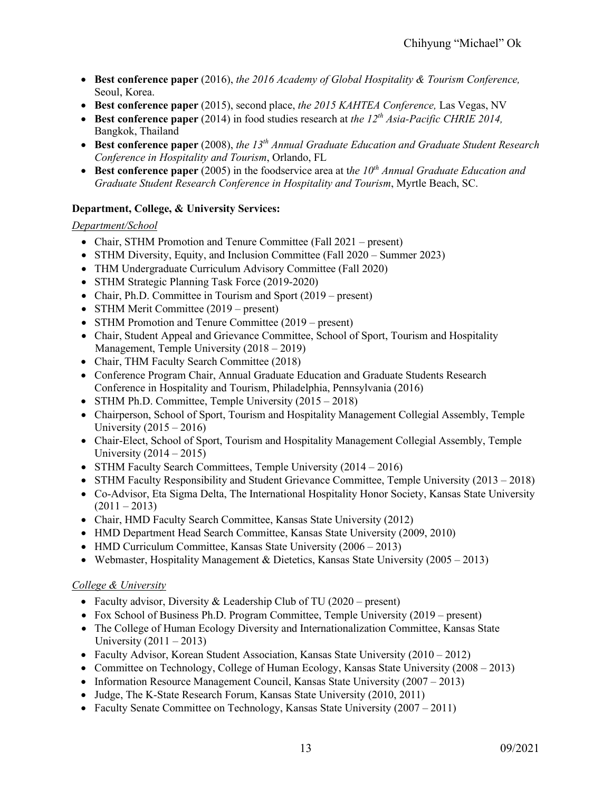- **Best conference paper** (2016), *the 2016 Academy of Global Hospitality & Tourism Conference,*  Seoul, Korea.
- **Best conference paper** (2015), second place, *the 2015 KAHTEA Conference,* Las Vegas, NV
- **Best conference paper** (2014) in food studies research at *the 12<sup>th</sup> Asia-Pacific CHRIE 2014*. Bangkok, Thailand
- **Best conference paper** (2008), *the 13th Annual Graduate Education and Graduate Student Research Conference in Hospitality and Tourism*, Orlando, FL
- **Best conference paper** (2005) in the foodservice area at t*he 10th Annual Graduate Education and Graduate Student Research Conference in Hospitality and Tourism*, Myrtle Beach, SC.

# **Department, College, & University Services:**

# *Department/School*

- Chair, STHM Promotion and Tenure Committee (Fall 2021 present)
- STHM Diversity, Equity, and Inclusion Committee (Fall 2020 Summer 2023)
- THM Undergraduate Curriculum Advisory Committee (Fall 2020)
- STHM Strategic Planning Task Force (2019-2020)
- Chair, Ph.D. Committee in Tourism and Sport (2019 present)
- STHM Merit Committee (2019 present)
- STHM Promotion and Tenure Committee (2019 present)
- Chair, Student Appeal and Grievance Committee, School of Sport, Tourism and Hospitality Management, Temple University (2018 – 2019)
- Chair, THM Faculty Search Committee (2018)
- Conference Program Chair, Annual Graduate Education and Graduate Students Research Conference in Hospitality and Tourism, Philadelphia, Pennsylvania (2016)
- STHM Ph.D. Committee, Temple University (2015 2018)
- Chairperson, School of Sport, Tourism and Hospitality Management Collegial Assembly, Temple University (2015 – 2016)
- Chair-Elect, School of Sport, Tourism and Hospitality Management Collegial Assembly, Temple University (2014 – 2015)
- STHM Faculty Search Committees, Temple University (2014 2016)
- STHM Faculty Responsibility and Student Grievance Committee, Temple University (2013 2018)
- Co-Advisor, Eta Sigma Delta, The International Hospitality Honor Society, Kansas State University  $(2011 - 2013)$
- Chair, HMD Faculty Search Committee, Kansas State University (2012)
- HMD Department Head Search Committee, Kansas State University (2009, 2010)
- HMD Curriculum Committee, Kansas State University (2006 2013)
- Webmaster, Hospitality Management & Dietetics, Kansas State University  $(2005 2013)$

## *College & University*

- Faculty advisor, Diversity & Leadership Club of TU  $(2020 \text{present})$
- Fox School of Business Ph.D. Program Committee, Temple University (2019 present)
- The College of Human Ecology Diversity and Internationalization Committee, Kansas State University  $(2011 – 2013)$
- Faculty Advisor, Korean Student Association, Kansas State University (2010 2012)
- Committee on Technology, College of Human Ecology, Kansas State University (2008 2013)
- Information Resource Management Council, Kansas State University (2007 2013)
- Judge, The K-State Research Forum, Kansas State University (2010, 2011)
- Faculty Senate Committee on Technology, Kansas State University (2007 2011)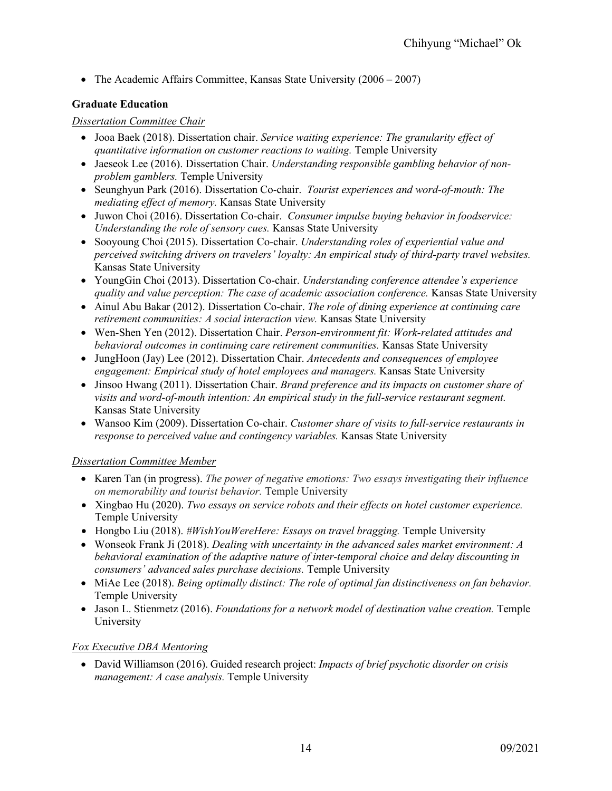• The Academic Affairs Committee, Kansas State University (2006 – 2007)

# **Graduate Education**

# *Dissertation Committee Chair*

- Jooa Baek (2018). Dissertation chair. *Service waiting experience: The granularity effect of quantitative information on customer reactions to waiting.* Temple University
- Jaeseok Lee (2016). Dissertation Chair. *Understanding responsible gambling behavior of nonproblem gamblers.* Temple University
- Seunghyun Park (2016). Dissertation Co-chair. *Tourist experiences and word-of-mouth: The mediating effect of memory.* Kansas State University
- Juwon Choi (2016). Dissertation Co-chair. *Consumer impulse buying behavior in foodservice: Understanding the role of sensory cues.* Kansas State University
- Sooyoung Choi (2015). Dissertation Co-chair. *Understanding roles of experiential value and perceived switching drivers on travelers' loyalty: An empirical study of third-party travel websites.* Kansas State University
- YoungGin Choi (2013). Dissertation Co-chair. *Understanding conference attendee's experience quality and value perception: The case of academic association conference.* Kansas State University
- Ainul Abu Bakar (2012). Dissertation Co-chair. *The role of dining experience at continuing care retirement communities: A social interaction view.* Kansas State University
- Wen-Shen Yen (2012). Dissertation Chair. *Person-environment fit: Work-related attitudes and behavioral outcomes in continuing care retirement communities.* Kansas State University
- JungHoon (Jay) Lee (2012). Dissertation Chair. *Antecedents and consequences of employee engagement: Empirical study of hotel employees and managers.* Kansas State University
- Jinsoo Hwang (2011). Dissertation Chair. *Brand preference and its impacts on customer share of visits and word-of-mouth intention: An empirical study in the full-service restaurant segment.* Kansas State University
- Wansoo Kim (2009). Dissertation Co-chair. *Customer share of visits to full-service restaurants in response to perceived value and contingency variables.* Kansas State University

# *Dissertation Committee Member*

- Karen Tan (in progress). *The power of negative emotions: Two essays investigating their influence on memorability and tourist behavior.* Temple University
- Xingbao Hu (2020). *Two essays on service robots and their effects on hotel customer experience.* Temple University
- Hongbo Liu (2018). *#WishYouWereHere: Essays on travel bragging.* Temple University
- Wonseok Frank Ji (2018). *Dealing with uncertainty in the advanced sales market environment: A behavioral examination of the adaptive nature of inter-temporal choice and delay discounting in consumers' advanced sales purchase decisions.* Temple University
- MiAe Lee (2018). *Being optimally distinct: The role of optimal fan distinctiveness on fan behavior.* Temple University
- Jason L. Stienmetz (2016). *Foundations for a network model of destination value creation.* Temple University

# *Fox Executive DBA Mentoring*

• David Williamson (2016). Guided research project: *Impacts of brief psychotic disorder on crisis management: A case analysis.* Temple University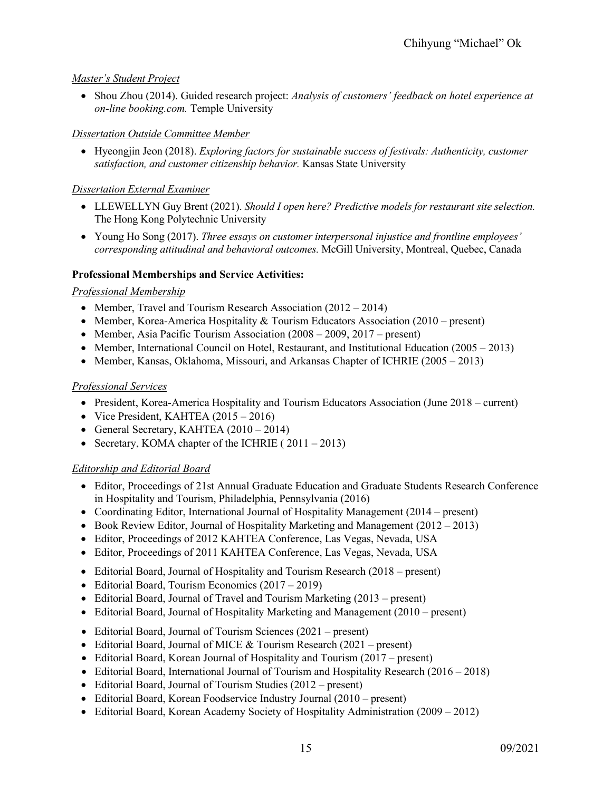# *Master's Student Project*

• Shou Zhou (2014). Guided research project: *Analysis of customers' feedback on hotel experience at on-line booking.com.* Temple University

# *Dissertation Outside Committee Member*

• Hyeongjin Jeon (2018). *Exploring factors for sustainable success of festivals: Authenticity, customer satisfaction, and customer citizenship behavior.* Kansas State University

# *Dissertation External Examiner*

- LLEWELLYN Guy Brent (2021). *Should I open here? Predictive models for restaurant site selection.* The Hong Kong Polytechnic University
- Young Ho Song (2017). *Three essays on customer interpersonal injustice and frontline employees' corresponding attitudinal and behavioral outcomes.* McGill University, Montreal, Quebec, Canada

# **Professional Memberships and Service Activities:**

## *Professional Membership*

- Member, Travel and Tourism Research Association (2012 2014)
- Member, Korea-America Hospitality & Tourism Educators Association (2010 present)
- Member, Asia Pacific Tourism Association (2008 2009, 2017 present)
- Member, International Council on Hotel, Restaurant, and Institutional Education (2005 2013)
- Member, Kansas, Oklahoma, Missouri, and Arkansas Chapter of ICHRIE (2005 2013)

# *Professional Services*

- President, Korea-America Hospitality and Tourism Educators Association (June 2018 current)
- Vice President, KAHTEA (2015 2016)
- General Secretary, KAHTEA (2010 2014)
- Secretary, KOMA chapter of the ICHRIE (2011 2013)

## *Editorship and Editorial Board*

- Editor, Proceedings of 21st Annual Graduate Education and Graduate Students Research Conference in Hospitality and Tourism, Philadelphia, Pennsylvania (2016)
- Coordinating Editor, International Journal of Hospitality Management (2014 present)
- Book Review Editor, Journal of Hospitality Marketing and Management (2012 2013)
- Editor, Proceedings of 2012 KAHTEA Conference, Las Vegas, Nevada, USA
- Editor, Proceedings of 2011 KAHTEA Conference, Las Vegas, Nevada, USA
- Editorial Board, Journal of Hospitality and Tourism Research (2018 present)
- Editorial Board, Tourism Economics (2017 2019)
- Editorial Board, Journal of Travel and Tourism Marketing (2013 present)
- Editorial Board, Journal of Hospitality Marketing and Management (2010 present)
- Editorial Board, Journal of Tourism Sciences (2021 present)
- Editorial Board, Journal of MICE & Tourism Research (2021 present)
- Editorial Board, Korean Journal of Hospitality and Tourism (2017 present)
- Editorial Board, International Journal of Tourism and Hospitality Research (2016 2018)
- Editorial Board, Journal of Tourism Studies (2012 present)
- Editorial Board, Korean Foodservice Industry Journal (2010 present)
- Editorial Board, Korean Academy Society of Hospitality Administration (2009 2012)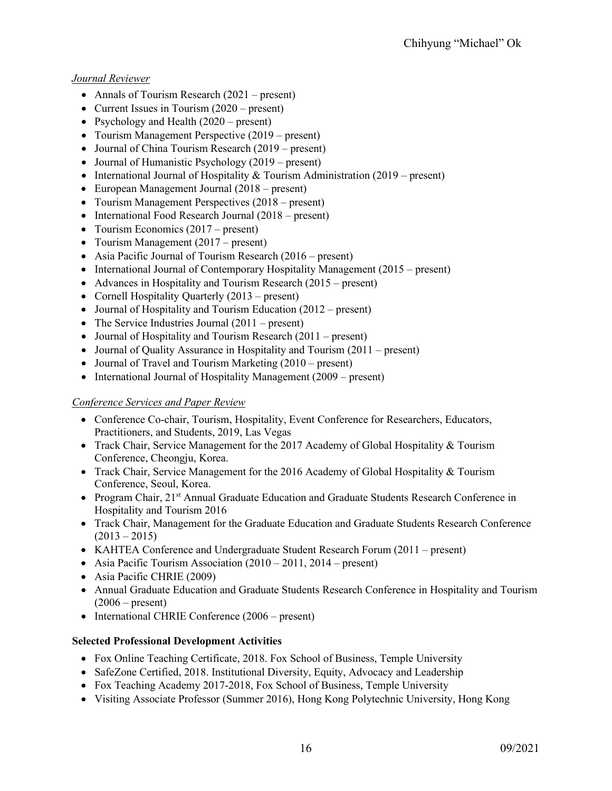# *Journal Reviewer*

- Annals of Tourism Research (2021 present)
- Current Issues in Tourism (2020 present)
- Psychology and Health (2020 present)
- Tourism Management Perspective (2019 present)
- Journal of China Tourism Research (2019 present)
- Journal of Humanistic Psychology (2019 present)
- International Journal of Hospitality & Tourism Administration  $(2019 present)$
- European Management Journal (2018 present)
- Tourism Management Perspectives (2018 present)
- International Food Research Journal (2018 present)
- Tourism Economics (2017 present)
- Tourism Management (2017 present)
- Asia Pacific Journal of Tourism Research (2016 present)
- International Journal of Contemporary Hospitality Management (2015 present)
- Advances in Hospitality and Tourism Research (2015 present)
- Cornell Hospitality Quarterly (2013 present)
- Journal of Hospitality and Tourism Education (2012 present)
- The Service Industries Journal (2011 present)
- Journal of Hospitality and Tourism Research (2011 present)
- Journal of Quality Assurance in Hospitality and Tourism (2011 present)
- Journal of Travel and Tourism Marketing (2010 present)
- International Journal of Hospitality Management (2009 present)

# *Conference Services and Paper Review*

- Conference Co-chair, Tourism, Hospitality, Event Conference for Researchers, Educators, Practitioners, and Students, 2019, Las Vegas
- Track Chair, Service Management for the 2017 Academy of Global Hospitality & Tourism Conference, Cheongju, Korea.
- Track Chair, Service Management for the 2016 Academy of Global Hospitality & Tourism Conference, Seoul, Korea.
- Program Chair, 21<sup>st</sup> Annual Graduate Education and Graduate Students Research Conference in Hospitality and Tourism 2016
- Track Chair, Management for the Graduate Education and Graduate Students Research Conference  $(2013 - 2015)$
- KAHTEA Conference and Undergraduate Student Research Forum (2011 present)
- Asia Pacific Tourism Association (2010 2011, 2014 present)
- Asia Pacific CHRIE (2009)
- Annual Graduate Education and Graduate Students Research Conference in Hospitality and Tourism  $(2006 - present)$
- International CHRIE Conference (2006 present)

## **Selected Professional Development Activities**

- Fox Online Teaching Certificate, 2018. Fox School of Business, Temple University
- SafeZone Certified, 2018. Institutional Diversity, Equity, Advocacy and Leadership
- Fox Teaching Academy 2017-2018, Fox School of Business, Temple University
- Visiting Associate Professor (Summer 2016), Hong Kong Polytechnic University, Hong Kong